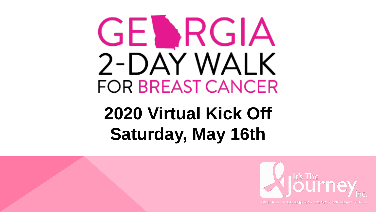# GEDRGIA 2-DAY WALK **FOR BREAST CANCER**

## **2020 Virtual Kick Off Saturday, May 16th**



**PRODUCER OF THE GENRGIA 2-DAY WALK FOR BREAST CANCER**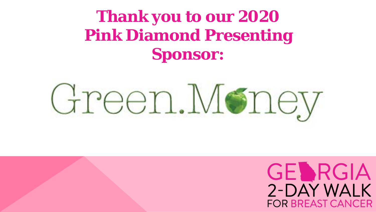### **Thank you to our 2020 Pink Diamond Presenting Sponsor:**



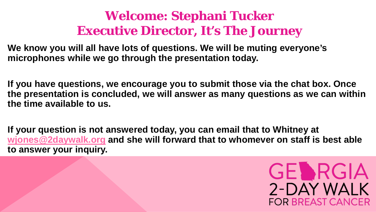#### **Welcome: Stephani Tucker Executive Director, It's The Journey**

**We know you will all have lots of questions. We will be muting everyone's microphones while we go through the presentation today.** 

**If you have questions, we encourage you to submit those via the chat box. Once the presentation is concluded, we will answer as many questions as we can within the time available to us.** 

**If your question is not answered today, you can email that to Whitney at [wjones@2daywalk.org](mailto:wjones@2daywalk.org) and she will forward that to whomever on staff is best able to answer your inquiry.**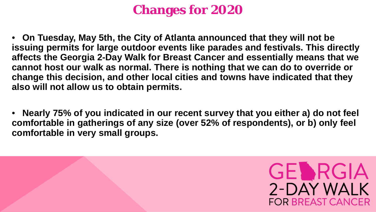#### **Changes for 2020**

• **On Tuesday, May 5th, the City of Atlanta announced that they will not be issuing permits for large outdoor events like parades and festivals. This directly affects the Georgia 2-Day Walk for Breast Cancer and essentially means that we cannot host our walk as normal. There is nothing that we can do to override or change this decision, and other local cities and towns have indicated that they also will not allow us to obtain permits.**

• **Nearly 75% of you indicated in our recent survey that you either a) do not feel comfortable in gatherings of any size (over 52% of respondents), or b) only feel comfortable in very small groups.**

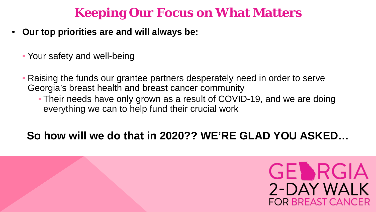#### **Keeping Our Focus on What Matters**

- **Our top priorities are and will always be:**
	- Your safety and well-being
	- Raising the funds our grantee partners desperately need in order to serve Georgia's breast health and breast cancer community
		- Their needs have only grown as a result of COVID-19, and we are doing everything we can to help fund their crucial work

#### **So how will we do that in 2020?? WE'RE GLAD YOU ASKED…**

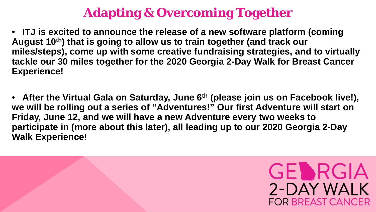#### **Adapting & Overcoming Together**

• **ITJ is excited to announce the release of a new software platform (coming August 10th) that is going to allow us to train together (and track our miles/steps), come up with some creative fundraising strategies, and to virtually tackle our 30 miles together for the 2020 Georgia 2-Day Walk for Breast Cancer Experience!**

• After the Virtual Gala on Saturday, June 6<sup>th</sup> (please join us on Facebook live!), **we will be rolling out a series of "Adventures!" Our first Adventure will start on Friday, June 12, and we will have a new Adventure every two weeks to participate in (more about this later), all leading up to our 2020 Georgia 2-Day Walk Experience!**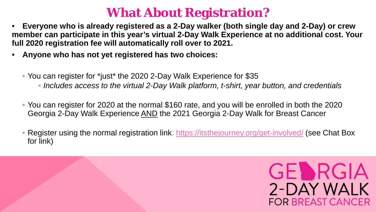#### **What About Registration?**

- **Everyone who is already registered as a 2-Day walker (both single day and 2-Day) or crew member can participate in this year's virtual 2-Day Walk Experience at no additional cost. Your full 2020 registration fee will automatically roll over to 2021.**
- **Anyone who has not yet registered has two choices:**
	- You can register for \*just\* the 2020 2-Day Walk Experience for \$35
		- *Includes access to the virtual 2-Day Walk platform, t-shirt, year button, and credentials*
	- You can register for 2020 at the normal \$160 rate, and you will be enrolled in both the 2020 Georgia 2-Day Walk Experience AND the 2021 Georgia 2-Day Walk for Breast Cancer
	- Register using the normal registration link:<https://itsthejourney.org/get-involved/> (see Chat Box for link)

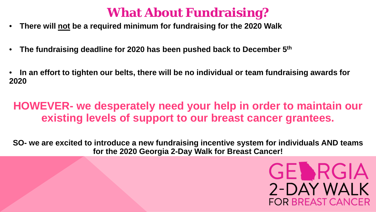#### **What About Fundraising?**

- **There will not be a required minimum for fundraising for the 2020 Walk**
- **The fundraising deadline for 2020 has been pushed back to December 5th**
- **In an effort to tighten our belts, there will be no individual or team fundraising awards for 2020**

#### **HOWEVER- we desperately need your help in order to maintain our existing levels of support to our breast cancer grantees.**

**SO- we are excited to introduce a new fundraising incentive system for individuals AND teams for the 2020 Georgia 2-Day Walk for Breast Cancer!**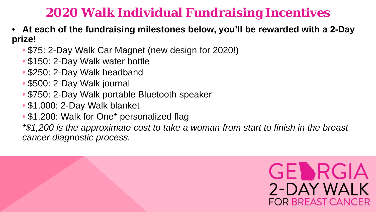#### **2020 Walk Individual Fundraising Incentives**

- **At each of the fundraising milestones below, you'll be rewarded with a 2-Day prize!**
	- \$75: 2-Day Walk Car Magnet (new design for 2020!)
	- \$150: 2-Day Walk water bottle
	- \$250: 2-Day Walk headband
	- \$500: 2-Day Walk journal
	- \$750: 2-Day Walk portable Bluetooth speaker
	- \$1,000: 2-Day Walk blanket
	- \$1,200: Walk for One\* personalized flag

*\*\$1,200 is the approximate cost to take a woman from start to finish in the breast cancer diagnostic process.*

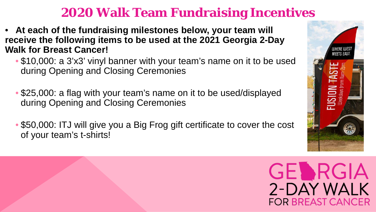#### **2020 Walk Team Fundraising Incentives**

- **At each of the fundraising milestones below, your team will receive the following items to be used at the 2021 Georgia 2-Day Walk for Breast Cancer!**
	- \$10,000: a 3'x3' vinyl banner with your team's name on it to be used during Opening and Closing Ceremonies
	- \$25,000: a flag with your team's name on it to be used/displayed during Opening and Closing Ceremonies
	- \$50,000: ITJ will give you a Big Frog gift certificate to cover the cost of your team's t-shirts!



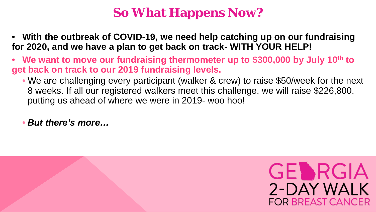#### **So What Happens Now?**

- **With the outbreak of COVID-19, we need help catching up on our fundraising for 2020, and we have a plan to get back on track- WITH YOUR HELP!**
- **We want to move our fundraising thermometer up to \$300,000 by July 10th to get back on track to our 2019 fundraising levels.** 
	- We are challenging every participant (walker & crew) to raise \$50/week for the next 8 weeks. If all our registered walkers meet this challenge, we will raise \$226,800, putting us ahead of where we were in 2019- woo hoo!
	- *But there's more…*

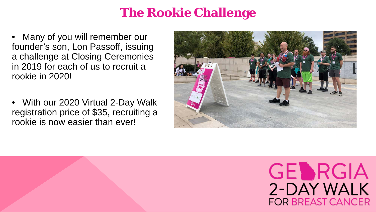#### **The Rookie Challenge**

• Many of you will remember our founder's son, Lon Passoff, issuing a challenge at Closing Ceremonies in 2019 for each of us to recruit a rookie in 2020!

• With our 2020 Virtual 2-Day Walk registration price of \$35, recruiting a rookie is now easier than ever!



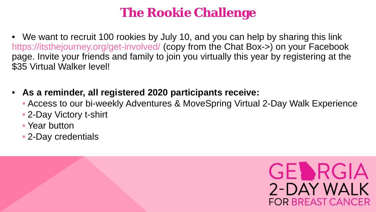#### **The Rookie Challenge**

- We want to recruit 100 rookies by July 10, and you can help by sharing this link https://itsthejourney.org/get-involved/ (copy from the Chat Box->) on your Facebook page. Invite your friends and family to join you virtually this year by registering at the \$35 Virtual Walker level!
- **As a reminder, all registered 2020 participants receive:**
	- Access to our bi-weekly Adventures & MoveSpring Virtual 2-Day Walk Experience
	- 2-Day Victory t-shirt
	- Year button
	- 2-Day credentials

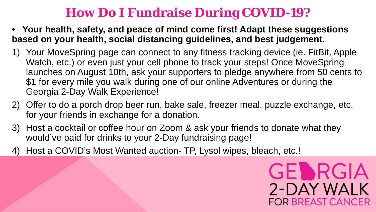#### **How Do I Fundraise During COVID-19?**

- **Your health, safety, and peace of mind come first! Adapt these suggestions based on your health, social distancing guidelines, and best judgement.**
- 1) Your MoveSpring page can connect to any fitness tracking device (ie. FitBit, Apple Watch, etc.) or even just your cell phone to track your steps! Once MoveSpring launches on August 10th, ask your supporters to pledge anywhere from 50 cents to \$1 for every mile you walk during one of our online Adventures or during the Georgia 2-Day Walk Experience!
- 2) Offer to do a porch drop beer run, bake sale, freezer meal, puzzle exchange, etc. for your friends in exchange for a donation.
- 3) Host a cocktail or coffee hour on Zoom & ask your friends to donate what they would've paid for drinks to your 2-Day fundraising page!
- 4) Host a COVID's Most Wanted auction- TP, Lysol wipes, bleach, etc.!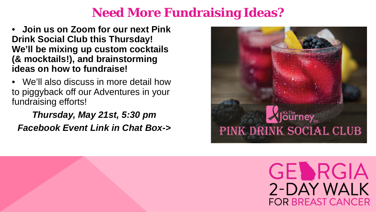#### **Need More Fundraising Ideas?**

- **Join us on Zoom for our next Pink Drink Social Club this Thursday! We'll be mixing up custom cocktails (& mocktails!), and brainstorming ideas on how to fundraise!**
- We'll also discuss in more detail how to piggyback off our Adventures in your fundraising efforts!

*Thursday, May 21st, 5:30 pm Facebook Event Link in Chat Box->*

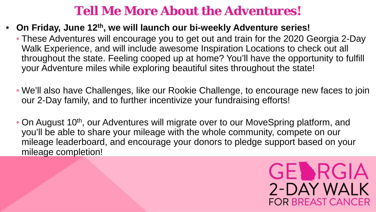#### **Tell Me More About the Adventures!**

- **On Friday, June 12th, we will launch our bi-weekly Adventure series!** 
	- These Adventures will encourage you to get out and train for the 2020 Georgia 2-Day Walk Experience, and will include awesome Inspiration Locations to check out all throughout the state. Feeling cooped up at home? You'll have the opportunity to fulfill your Adventure miles while exploring beautiful sites throughout the state!
	- We'll also have Challenges, like our Rookie Challenge, to encourage new faces to join our 2-Day family, and to further incentivize your fundraising efforts!
	- On August 10<sup>th</sup>, our Adventures will migrate over to our MoveSpring platform, and you'll be able to share your mileage with the whole community, compete on our mileage leaderboard, and encourage your donors to pledge support based on your mileage completion!

**GELARGIA**<br>2-DAY WALK

**FOR BREAST CANCER**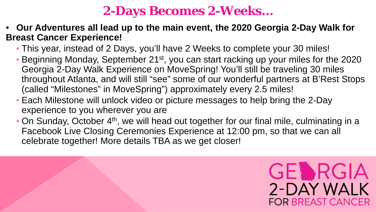#### **2-Days Becomes 2-Weeks…**

- **Our Adventures all lead up to the main event, the 2020 Georgia 2-Day Walk for Breast Cancer Experience!**
	- This year, instead of 2 Days, you'll have 2 Weeks to complete your 30 miles!
	- Beginning Monday, September 21<sup>st</sup>, you can start racking up your miles for the 2020 Georgia 2-Day Walk Experience on MoveSpring! You'll still be traveling 30 miles throughout Atlanta, and will still "see" some of our wonderful partners at B'Rest Stops (called "Milestones" in MoveSpring") approximately every 2.5 miles!
	- Each Milestone will unlock video or picture messages to help bring the 2-Day experience to you wherever you are
	- On Sunday, October 4<sup>th</sup>, we will head out together for our final mile, culminating in a Facebook Live Closing Ceremonies Experience at 12:00 pm, so that we can all celebrate together! More details TBA as we get closer!

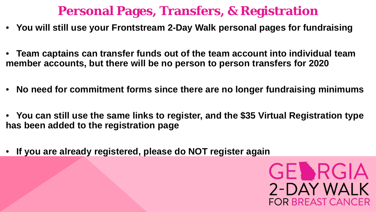#### **Personal Pages, Transfers, & Registration**

- **You will still use your Frontstream 2-Day Walk personal pages for fundraising**
- **Team captains can transfer funds out of the team account into individual team member accounts, but there will be no person to person transfers for 2020**
- **No need for commitment forms since there are no longer fundraising minimums**
- **You can still use the same links to register, and the \$35 Virtual Registration type has been added to the registration page**
- **If you are already registered, please do NOT register again**